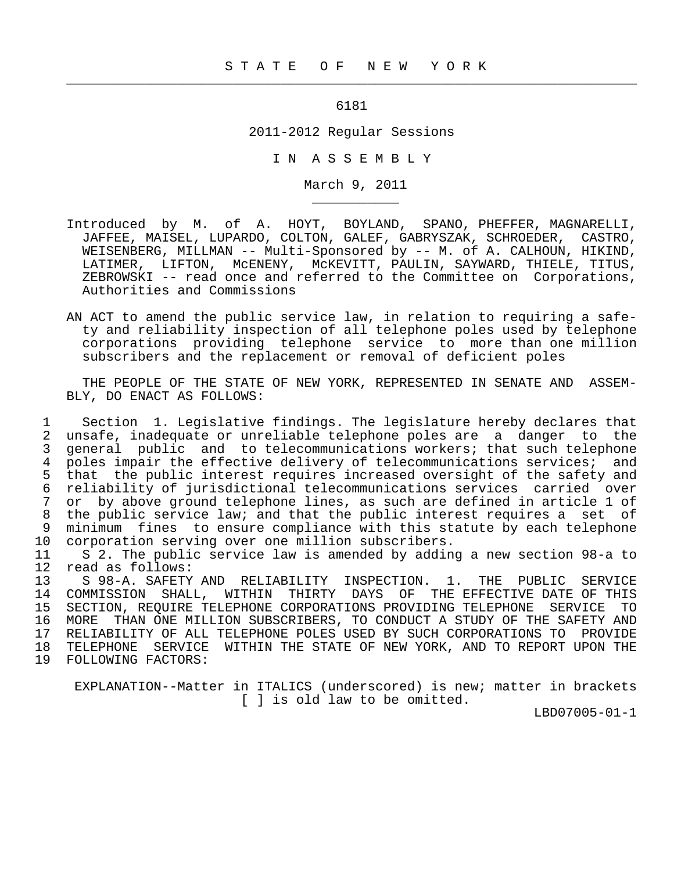## 6181

 $\frac{1}{2}$  , and the contribution of the contribution of the contribution of the contribution of the contribution of the contribution of the contribution of the contribution of the contribution of the contribution of the c

\_\_\_\_\_\_\_\_\_\_\_

## 2011-2012 Regular Sessions

I N A S S E M B L Y

March 9, 2011

- Introduced by M. of A. HOYT, BOYLAND, SPANO, PHEFFER, MAGNARELLI, JAFFEE, MAISEL, LUPARDO, COLTON, GALEF, GABRYSZAK, SCHROEDER, CASTRO, WEISENBERG, MILLMAN -- Multi-Sponsored by -- M. of A. CALHOUN, HIKIND, LATIMER, LIFTON, McENENY, McKEVITT, PAULIN, SAYWARD, THIELE, TITUS, ZEBROWSKI -- read once and referred to the Committee on Corporations, Authorities and Commissions
- AN ACT to amend the public service law, in relation to requiring a safe ty and reliability inspection of all telephone poles used by telephone corporations providing telephone service to more than one million subscribers and the replacement or removal of deficient poles

 THE PEOPLE OF THE STATE OF NEW YORK, REPRESENTED IN SENATE AND ASSEM- BLY, DO ENACT AS FOLLOWS:

 1 Section 1. Legislative findings. The legislature hereby declares that 2 unsafe, inadequate or unreliable telephone poles are a danger to the<br>3 general public and to telecommunications workers; that such telephone 3 general public and to telecommunications workers; that such telephone<br>4 poles impair the effective delivery of telecommunications services; and 4 poles impair the effective delivery of telecommunications services; and<br>5 that the public interest requires increased oversight of the safety and 5 that the public interest requires increased oversight of the safety and<br>6 reliability of jurisdictional telecommunications services carried over 6 reliability of jurisdictional telecommunications services carried over 7 or by above ground telephone lines, as such are defined in article 1 of<br>8 the public service law; and that the public interest requires a set of 8 the public service law; and that the public interest requires a set of<br>9 minimum fines to ensure compliance with this statute by each telephone 9 minimum fines to ensure compliance with this statute by each telephone<br>10 corporation serving over one million subscribers. corporation serving over one million subscribers.

 11 S 2. The public service law is amended by adding a new section 98-a to 12 read as follows:<br>13 S 98-A. SAFETY

13 S 98-A. SAFETY AND RELIABILITY INSPECTION. 1. THE PUBLIC SERVICE<br>14 COMMISSION SHALL, WITHIN THIRTY DAYS OF THE EFFECTIVE DATE OF THIS 14 COMMISSION SHALL, WITHIN THIRTY DAYS OF THE EFFECTIVE DATE OF THIS<br>15 SECTION, REOUIRE TELEPHONE CORPORATIONS PROVIDING TELEPHONE SERVICE TO 15 SECTION, REQUIRE TELEPHONE CORPORATIONS PROVIDING TELEPHONE SERVICE TO 16 MORE THAN ONE MILLION SUBSCRIBERS, TO CONDUCT A STUDY OF THE SAFETY AND<br>17 RELIABILITY OF ALL TELEPHONE POLES USED BY SUCH CORPORATIONS TO PROVIDE 17 RELIABILITY OF ALL TELEPHONE POLES USED BY SUCH CORPORATIONS TO PROVIDE<br>18 TELEPHONE SERVICE WITHIN THE STATE OF NEW YORK, AND TO REPORT UPON THE 18 TELEPHONE SERVICE WITHIN THE STATE OF NEW YORK, AND TO REPORT UPON THE 19 FOLLOWING FACTORS: 19 FOLLOWING FACTORS:

 EXPLANATION--Matter in ITALICS (underscored) is new; matter in brackets [ ] is old law to be omitted.

LBD07005-01-1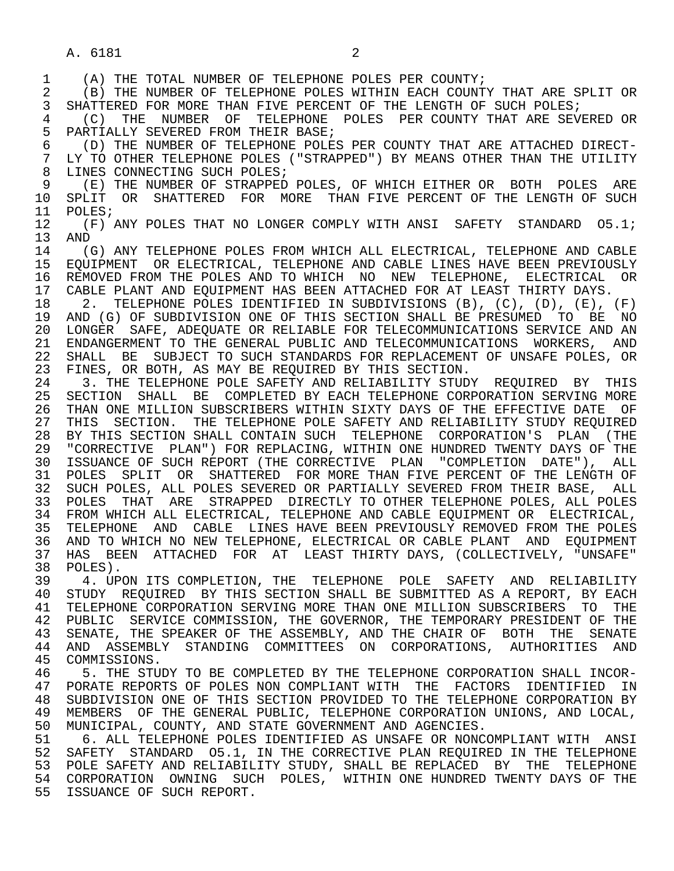A. 6181 2

1 (A) THE TOTAL NUMBER OF TELEPHONE POLES PER COUNTY;<br>2 (B) THE NUMBER OF TELEPHONE POLES WITHIN EACH COUNT 2 (B) THE NUMBER OF TELEPHONE POLES WITHIN EACH COUNTY THAT ARE SPLIT OR<br>3 SHATTERED FOR MORE THAN FIVE PERCENT OF THE LENGTH OF SUCH POLES; SHATTERED FOR MORE THAN FIVE PERCENT OF THE LENGTH OF SUCH POLES; 4 (C) THE NUMBER OF TELEPHONE POLES PER COUNTY THAT ARE SEVERED OR<br>5 PARTIALLY SEVERED FROM THEIR BASE; 5 PARTIALLY SEVERED FROM THEIR BASE;<br>6 (D) THE NUMBER OF TELEPHONE POLE; 6 (D) THE NUMBER OF TELEPHONE POLES PER COUNTY THAT ARE ATTACHED DIRECT- LY TO OTHER TELEPHONE POLES ("STRAPPED") BY MEANS OTHER THAN THE UTILITY 8 LINES CONNECTING SUCH POLES;<br>9 (E) THE NUMBER OF STRAPPED 9 (E) THE NUMBER OF STRAPPED POLES, OF WHICH EITHER OR BOTH POLES ARE 10 SPLIT OR SHATTERED FOR MORE THAN FIVE PERCENT OF THE LENGTH OF SUCH 11 POLES; 11 POLES;<br>12 (F); 12  $(F)$  ANY POLES THAT NO LONGER COMPLY WITH ANSI SAFETY STANDARD 05.1;<br>13 AND 13 AND<br>14 (( 14 (G) ANY TELEPHONE POLES FROM WHICH ALL ELECTRICAL, TELEPHONE AND CABLE 15 EQUIPMENT OR ELECTRICAL, TELEPHONE AND CABLE LINES HAVE BEEN PREVIOUSLY<br>16 REMOVED FROM THE POLES AND TO WHICH NO NEW TELEPHONE, ELECTRICAL OR 16 REMOVED FROM THE POLES AND TO WHICH NO NEW TELEPHONE, ELECTRICAL OR<br>17 CABLE PLANT AND EOUIPMENT HAS BEEN ATTACHED FOR AT LEAST THIRTY DAYS. 17 CABLE PLANT AND EQUIPMENT HAS BEEN ATTACHED FOR AT LEAST THIRTY DAYS.<br>18 2. TELEPHONE POLES IDENTIFIED IN SUBDIVISIONS (B), (C), (D), (E), 18 2. TELEPHONE POLES IDENTIFIED IN SUBDIVISIONS (B), (C), (D), (E), (F)<br>19 AND (G) OF SUBDIVISION ONE OF THIS SECTION SHALL BE PRESUMED. TO BE NO 19 AND (G) OF SUBDIVISION ONE OF THIS SECTION SHALL BE PRESUMED TO BE NO<br>20 LONGER SAFE, ADEOUATE OR RELIABLE FOR TELECOMMUNICATIONS SERVICE AND AN 20 LONGER SAFE, ADEQUATE OR RELIABLE FOR TELECOMMUNICATIONS SERVICE AND AN 21 ENDANGERMENT TO THE GENERAL PUBLIC AND TELECOMMUNICATIONS WORKERS. AND 21 ENDANGERMENT TO THE GENERAL PUBLIC AND TELECOMMUNICATIONS WORKERS, AND<br>22 SHALL BE SUBJECT TO SUCH STANDARDS FOR REPLACEMENT OF UNSAFE POLES, OR 22 SHALL BE SUBJECT TO SUCH STANDARDS FOR REPLACEMENT OF UNSAFE POLES, OR<br>23 FINES, OR BOTH, AS MAY BE REOUIRED BY THIS SECTION. 23 FINES, OR BOTH, AS MAY BE REQUIRED BY THIS SECTION.<br>24 3. THE TELEPHONE POLE SAFETY AND RELIABILITY STUD 24 3. THE TELEPHONE POLE SAFETY AND RELIABILITY STUDY REQUIRED BY THIS<br>25 SECTION SHALL BE COMPLETED BY EACH TELEPHONE CORPORATION SERVING MORE 25 SECTION SHALL BE COMPLETED BY EACH TELEPHONE CORPORATION SERVING MORE 26 THAN ONE MILLION SUBSCRIBERS WITHIN SIXTY DAYS OF THE EFFECTIVE DATE OF<br>27 THIS SECTION. THE TELEPHONE POLE SAFETY AND RELIABILITY STUDY REOUIRED 27 THIS SECTION. THE TELEPHONE POLE SAFETY AND RELIABILITY STUDY REQUIRED<br>28 BY THIS SECTION SHALL CONTAIN SUCH TELEPHONE CORPORATION'S PLAN (THE 28 BY THIS SECTION SHALL CONTAIN SUCH TELEPHONE CORPORATION'S PLAN (THE 29 "CORRECTIVE PLAN") FOR REPLACING, WITHIN ONE HUNDRED TWENTY DAYS OF THE 29 "CORRECTIVE PLAN") FOR REPLACING, WITHIN ONE HUNDRED TWENTY DAYS OF THE 30 ISSUANCE OF SUCH REPORT (THE CORRECTIVE PLAN "COMPLETION DATE"), ALL 31 POLES SPLIT OR SHATTERED FOR MORE THAN FIVE PERCENT OF THE LENGTH OF 32 SUCH POLES, ALL 32 SUCH POLES, ALL POLES SEVERED OR PARTIALLY SEVERED FROM THEIR BASE, ALL 33 POLES THAT ARE STRAPPED DIRECTLY TO OTHER TELEPHONE POLES, ALL POLES 34 FROM WHICH ALL ELECTRICAL, TELEPHONE AND CABLE EQUIPMENT OR ELECTRICAL,<br>35 TELEPHONE AND CABLE LINES HAVE BEEN PREVIOUSLY REMOVED FROM THE POLES 35 TELEPHONE AND CABLE LINES HAVE BEEN PREVIOUSLY REMOVED FROM THE POLES 36 AND TO WHICH NO NEW TELEPHONE, ELECTRICAL OR CABLE PLANT AND EQUIPMENT 37 HAS BEEN ATTACHED FOR AT LEAST THIRTY DAYS, (COLLECTIVELY, "UNSAFE" 38 POLES). 38 POLES).<br>39 4. UP 39 4. UPON ITS COMPLETION, THE TELEPHONE POLE SAFETY AND RELIABILITY<br>40 STUDY REOUIRED BY THIS SECTION SHALL BE SUBMITTED AS A REPORT, BY EACH 40 STUDY REQUIRED BY THIS SECTION SHALL BE SUBMITTED AS A REPORT, BY EACH<br>41 TELEPHONE CORPORATION SERVING MORE THAN ONE MILLION SUBSCRIBERS TO THE 41 TELEPHONE CORPORATION SERVING MORE THAN ONE MILLION SUBSCRIBERS TO THE 42 PUBLIC SERVICE COMMISSION, THE GOVERNOR, THE TEMPORARY PRESIDENT OF THE 42 PUBLIC SERVICE COMMISSION, THE GOVERNOR, THE TEMPORARY PRESIDENT OF THE 43 SENATE. THE SPEAKER OF THE ASSEMBLY, AND THE CHAIR OF BOTH THE SENATE 43 SENATE, THE SPEAKER OF THE ASSEMBLY, AND THE CHAIR OF BOTH THE SENATE<br>44 AND ASSEMBLY STANDING COMMITTEES ON CORPORATIONS, AUTHORITIES AND 44 AND ASSEMBLY STANDING COMMITTEES ON CORPORATIONS, AUTHORITIES AND COMMISSIONS. 46 THE STUDY TO BE COMPLETED BY THE TELEPHONE CORPORATION SHALL INCOR-<br>47 PORATE REPORTS OF POLES NON COMPLIANT WITH THE FACTORS IDENTIFIED IN 47 PORATE REPORTS OF POLES NON COMPLIANT WITH THE FACTORS IDENTIFIED IN<br>48 SUBDIVISION ONE OF THIS SECTION PROVIDED TO THE TELEPHONE CORPORATION BY 48 SUBDIVISION ONE OF THIS SECTION PROVIDED TO THE TELEPHONE CORPORATION BY 49 MEMBERS OF THE GENERAL PUBLIC, TELEPHONE CORPORATION UNIONS, AND LOCAL, 40 (SALL) 50 MUNICIPAL, COUNTY, AND STATE GOVERNMENT AND AGENCIES.<br>51 6. ALL TELEPHONE POLES IDENTIFIED AS UNSAFE OR NONC 51 6. ALL TELEPHONE POLES IDENTIFIED AS UNSAFE OR NONCOMPLIANT WITH ANSI 52 SAFETY STANDARD O5.1, IN THE CORRECTIVE PLAN REQUIRED IN THE TELEPHONE 53 POLE SAFETY AND RELIABILITY STUDY, SHALL BE REPLACED BY THE TELEPHONE 54 CORPORATION OWNING SUCH POLES, WITHIN ONE HUNDRED TWENTY DAYS OF THE 55 ISSUANCE OF SUCH REPORT.